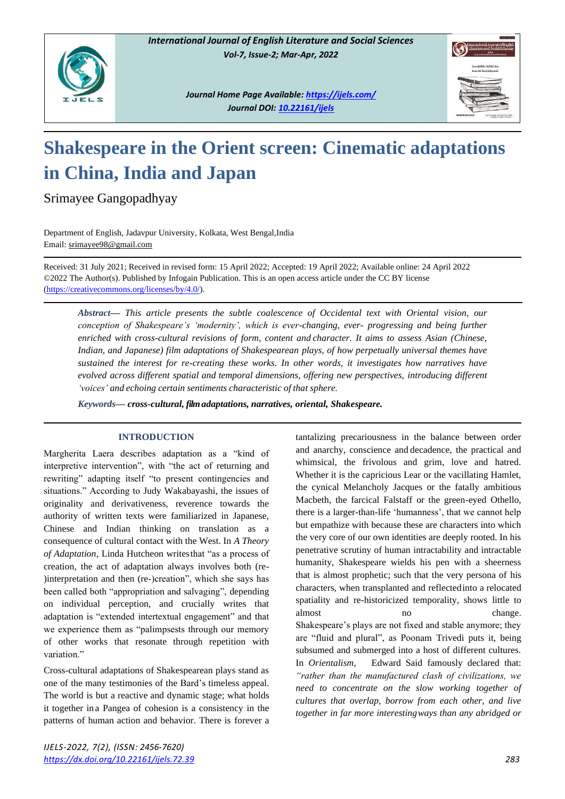

*Journal Home Page Available[: https://ijels.com/](https://ijels.com/) Journal DOI: 10.22161/ijels*



# **Shakespeare in the Orient screen: Cinematic adaptations in China, India and Japan**

Srimayee Gangopadhyay

Department of English, Jadavpur University, Kolkata, West Bengal,India Email[: srimayee98@gmail.com](mailto:srimayee98@gmail.com)

Received: 31 July 2021; Received in revised form: 15 April 2022; Accepted: 19 April 2022; Available online: 24 April 2022 ©2022 The Author(s). Published by Infogain Publication. This is an open access article under the CC BY license [\(https://creativecommons.org/licenses/by/4.0/\)](https://creativecommons.org/licenses/by/4.0/).

*Abstract— This article presents the subtle coalescence of Occidental text with Oriental vision, our conception of Shakespeare's 'modernity', which is ever-changing, ever- progressing and being further enriched with cross-cultural revisions of form, content and character. It aims to assess Asian (Chinese, Indian, and Japanese) film adaptations of Shakespearean plays, of how perpetually universal themes have sustained the interest for re-creating these works. In other words, it investigates how narratives have evolved across different spatial and temporal dimensions, offering new perspectives, introducing different 'voices' and echoing certain sentiments characteristic of that sphere.*

*Keywords— cross-cultural, film adaptations, narratives, oriental, Shakespeare.*

## **INTRODUCTION**

Margherita Laera describes adaptation as a "kind of interpretive intervention", with "the act of returning and rewriting" adapting itself "to present contingencies and situations." According to Judy Wakabayashi, the issues of originality and derivativeness, reverence towards the authority of written texts were familiarized in Japanese, Chinese and Indian thinking on translation as a consequence of cultural contact with the West. In *A Theory of Adaptation*, Linda Hutcheon writesthat "as a process of creation, the act of adaptation always involves both (re- )interpretation and then (re-)creation", which she says has been called both "appropriation and salvaging", depending on individual perception, and crucially writes that adaptation is "extended intertextual engagement" and that we experience them as "palimpsests through our memory of other works that resonate through repetition with variation."

Cross-cultural adaptations of Shakespearean plays stand as one of the many testimonies of the Bard's timeless appeal. The world is but a reactive and dynamic stage; what holds it together in a Pangea of cohesion is a consistency in the patterns of human action and behavior. There is forever a tantalizing precariousness in the balance between order and anarchy, conscience and decadence, the practical and whimsical, the frivolous and grim, love and hatred. Whether it is the capricious Lear or the vacillating Hamlet, the cynical Melancholy Jacques or the fatally ambitious Macbeth, the farcical Falstaff or the green-eyed Othello, there is a larger-than-life 'humanness', that we cannot help but empathize with because these are characters into which the very core of our own identities are deeply rooted. In his penetrative scrutiny of human intractability and intractable humanity, Shakespeare wields his pen with a sheerness that is almost prophetic; such that the very persona of his characters, when transplanted and reflectedinto a relocated spatiality and re-historicized temporality, shows little to almost no no change. Shakespeare's plays are not fixed and stable anymore; they are "fluid and plural", as Poonam Trivedi puts it, being subsumed and submerged into a host of different cultures. In *Orientalism*, Edward Said famously declared that: *"rather than the manufactured clash of civilizations, we need to concentrate on the slow working together of cultures that overlap, borrow from each other, and live together in far more interestingways than any abridged or*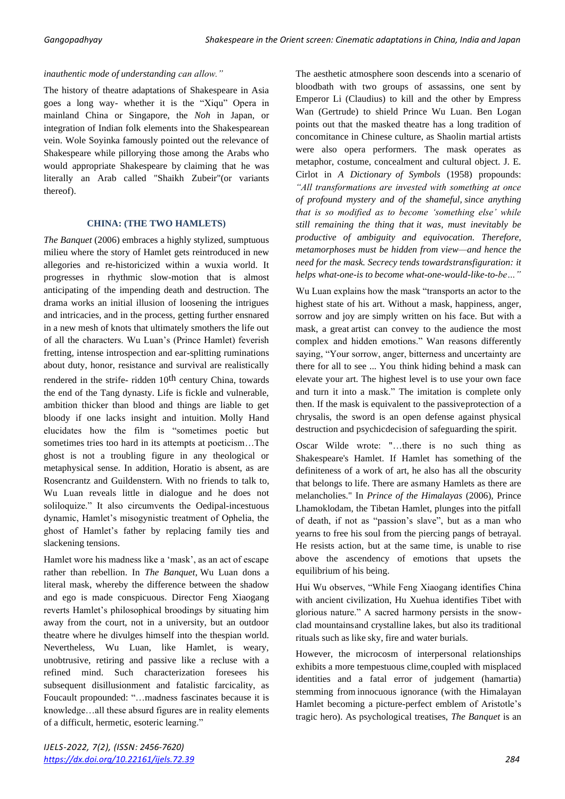#### *inauthentic mode of understanding can allow."*

The history of theatre adaptations of Shakespeare in Asia goes a long way- whether it is the "Xiqu" Opera in mainland China or Singapore, the *Noh* in Japan, or integration of Indian folk elements into the Shakespearean vein. Wole Soyinka famously pointed out the relevance of Shakespeare while pillorying those among the Arabs who would appropriate Shakespeare by claiming that he was literally an Arab called "Shaikh Zubeir"(or variants thereof).

#### **CHINA: (THE TWO HAMLETS)**

*The Banquet* (2006) embraces a highly stylized, sumptuous milieu where the story of Hamlet gets reintroduced in new allegories and re-historicized within a wuxia world. It progresses in rhythmic slow-motion that is almost anticipating of the impending death and destruction. The drama works an initial illusion of loosening the intrigues and intricacies, and in the process, getting further ensnared in a new mesh of knots that ultimately smothers the life out of all the characters. Wu Luan's (Prince Hamlet) feverish fretting, intense introspection and ear-splitting ruminations about duty, honor, resistance and survival are realistically rendered in the strife- ridden 10<sup>th</sup> century China, towards the end of the Tang dynasty. Life is fickle and vulnerable, ambition thicker than blood and things are liable to get bloody if one lacks insight and intuition. Molly Hand elucidates how the film is "sometimes poetic but sometimes tries too hard in its attempts at poeticism…The ghost is not a troubling figure in any theological or metaphysical sense. In addition, Horatio is absent, as are Rosencrantz and Guildenstern. With no friends to talk to, Wu Luan reveals little in dialogue and he does not soliloquize." It also circumvents the Oedipal-incestuous dynamic, Hamlet's misogynistic treatment of Ophelia, the ghost of Hamlet's father by replacing family ties and slackening tensions.

Hamlet wore his madness like a 'mask', as an act of escape rather than rebellion. In *The Banquet*, Wu Luan dons a literal mask, whereby the difference between the shadow and ego is made conspicuous. Director Feng Xiaogang reverts Hamlet's philosophical broodings by situating him away from the court, not in a university, but an outdoor theatre where he divulges himself into the thespian world. Nevertheless, Wu Luan, like Hamlet, is weary, unobtrusive, retiring and passive like a recluse with a refined mind. Such characterization foresees his subsequent disillusionment and fatalistic farcicality, as Foucault propounded: "…madness fascinates because it is knowledge…all these absurd figures are in reality elements of a difficult, hermetic, esoteric learning."

The aesthetic atmosphere soon descends into a scenario of bloodbath with two groups of assassins, one sent by Emperor Li (Claudius) to kill and the other by Empress Wan (Gertrude) to shield Prince Wu Luan. Ben Logan points out that the masked theatre has a long tradition of concomitance in Chinese culture, as Shaolin martial artists were also opera performers. The mask operates as metaphor, costume, concealment and cultural object. J. E. Cirlot in *A Dictionary of Symbols* (1958) propounds: *"All transformations are invested with something at once of profound mystery and of the shameful, since anything that is so modified as to become 'something else' while still remaining the thing that it was, must inevitably be productive of ambiguity and equivocation. Therefore, metamorphoses must be hidden from view—and hence the need for the mask. Secrecy tends towardstransfiguration: it helps what-one-is to become what-one-would-like-to-be…"*

Wu Luan explains how the mask "transports an actor to the highest state of his art. Without a mask, happiness, anger, sorrow and joy are simply written on his face. But with a mask, a great artist can convey to the audience the most complex and hidden emotions." Wan reasons differently saying, "Your sorrow, anger, bitterness and uncertainty are there for all to see ... You think hiding behind a mask can elevate your art. The highest level is to use your own face and turn it into a mask." The imitation is complete only then. If the mask is equivalent to the passiveprotection of a chrysalis, the sword is an open defense against physical destruction and psychicdecision of safeguarding the spirit.

Oscar Wilde wrote: "…there is no such thing as Shakespeare's Hamlet. If Hamlet has something of the definiteness of a work of art, he also has all the obscurity that belongs to life. There are asmany Hamlets as there are melancholies." In *Prince of the Himalayas* (2006), Prince Lhamoklodam, the Tibetan Hamlet, plunges into the pitfall of death, if not as "passion's slave", but as a man who yearns to free his soul from the piercing pangs of betrayal. He resists action, but at the same time, is unable to rise above the ascendency of emotions that upsets the equilibrium of his being.

Hui Wu observes, "While Feng Xiaogang identifies China with ancient civilization, Hu Xuehua identifies Tibet with glorious nature." A sacred harmony persists in the snowclad mountainsand crystalline lakes, but also its traditional rituals such as like sky, fire and water burials.

However, the microcosm of interpersonal relationships exhibits a more tempestuous clime,coupled with misplaced identities and a fatal error of judgement (hamartia) stemming from innocuous ignorance (with the Himalayan Hamlet becoming a picture-perfect emblem of Aristotle's tragic hero). As psychological treatises, *The Banquet* is an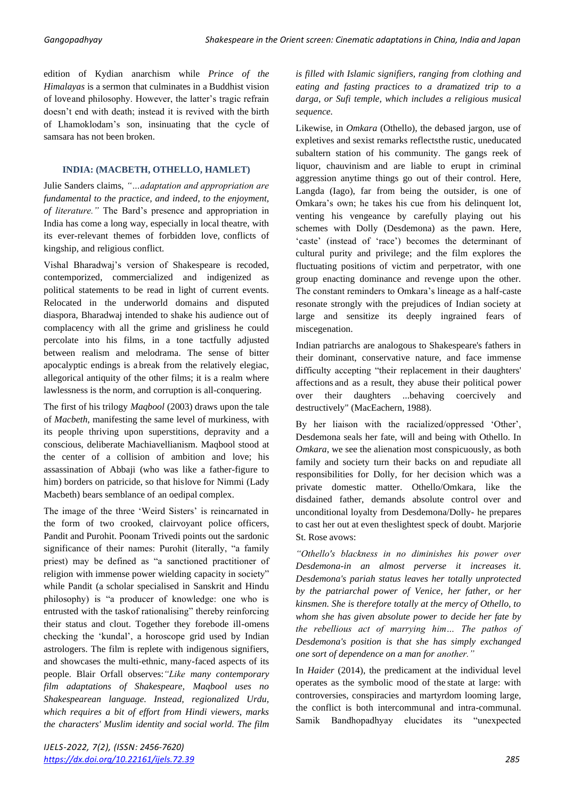edition of Kydian anarchism while *Prince of the Himalayas* is a sermon that culminates in a Buddhist vision of loveand philosophy. However, the latter's tragic refrain doesn't end with death; instead it is revived with the birth of Lhamoklodam's son, insinuating that the cycle of samsara has not been broken.

### **INDIA: (MACBETH, OTHELLO, HAMLET)**

Julie Sanders claims, *"…adaptation and appropriation are fundamental to the practice, and indeed, to the enjoyment, of literature."* The Bard's presence and appropriation in India has come a long way, especially in local theatre, with its ever-relevant themes of forbidden love, conflicts of kingship, and religious conflict.

Vishal Bharadwaj's version of Shakespeare is recoded, contemporized, commercialized and indigenized as political statements to be read in light of current events. Relocated in the underworld domains and disputed diaspora, Bharadwaj intended to shake his audience out of complacency with all the grime and grisliness he could percolate into his films, in a tone tactfully adjusted between realism and melodrama. The sense of bitter apocalyptic endings is a break from the relatively elegiac, allegorical antiquity of the other films; it is a realm where lawlessness is the norm, and corruption is all-conquering.

The first of his trilogy *Maqbool* (2003) draws upon the tale of *Macbeth*, manifesting the same level of murkiness, with its people thriving upon superstitions, depravity and a conscious, deliberate Machiavellianism. Maqbool stood at the center of a collision of ambition and love; his assassination of Abbaji (who was like a father-figure to him) borders on patricide, so that hislove for Nimmi (Lady Macbeth) bears semblance of an oedipal complex.

The image of the three 'Weird Sisters' is reincarnated in the form of two crooked, clairvoyant police officers, Pandit and Purohit. Poonam Trivedi points out the sardonic significance of their names: Purohit (literally, "a family priest) may be defined as "a sanctioned practitioner of religion with immense power wielding capacity in society" while Pandit (a scholar specialised in Sanskrit and Hindu philosophy) is "a producer of knowledge: one who is entrusted with the taskof rationalising" thereby reinforcing their status and clout. Together they forebode ill-omens checking the 'kundal', a horoscope grid used by Indian astrologers. The film is replete with indigenous signifiers, and showcases the multi-ethnic, many-faced aspects of its people. Blair Orfall observes:*"Like many contemporary film adaptations of Shakespeare, Maqbool uses no Shakespearean language. Instead, regionalized Urdu, which requires a bit of effort from Hindi viewers, marks the characters' Muslim identity and social world. The film*

*is filled with Islamic signifiers, ranging from clothing and eating and fasting practices to a dramatized trip to a darga, or Sufi temple, which includes a religious musical sequence.*

Likewise, in *Omkara* (Othello), the debased jargon, use of expletives and sexist remarks reflectsthe rustic, uneducated subaltern station of his community. The gangs reek of liquor, chauvinism and are liable to erupt in criminal aggression anytime things go out of their control. Here, Langda (Iago), far from being the outsider, is one of Omkara's own; he takes his cue from his delinquent lot, venting his vengeance by carefully playing out his schemes with Dolly (Desdemona) as the pawn. Here, 'caste' (instead of 'race') becomes the determinant of cultural purity and privilege; and the film explores the fluctuating positions of victim and perpetrator, with one group enacting dominance and revenge upon the other. The constant reminders to Omkara's lineage as a half-caste resonate strongly with the prejudices of Indian society at large and sensitize its deeply ingrained fears of miscegenation.

Indian patriarchs are analogous to Shakespeare's fathers in their dominant, conservative nature, and face immense difficulty accepting "their replacement in their daughters' affections and as a result, they abuse their political power over their daughters ...behaving coercively and destructively" (MacEachern, 1988).

By her liaison with the racialized/oppressed 'Other', Desdemona seals her fate, will and being with Othello. In *Omkara*, we see the alienation most conspicuously, as both family and society turn their backs on and repudiate all responsibilities for Dolly, for her decision which was a private domestic matter. Othello/Omkara, like the disdained father, demands absolute control over and unconditional loyalty from Desdemona/Dolly- he prepares to cast her out at even theslightest speck of doubt. Marjorie St. Rose avows:

*"Othello's blackness in no diminishes his power over Desdemona-in an almost perverse it increases it. Desdemona's pariah status leaves her totally unprotected by the patriarchal power of Venice, her father, or her kinsmen. She is therefore totally at the mercy of Othello, to whom she has given absolute power to decide her fate by the rebellious act of marrying him… The pathos of Desdemona's position is that she has simply exchanged one sort of dependence on a man for another."*

In *Haider* (2014), the predicament at the individual level operates as the symbolic mood of the state at large: with controversies, conspiracies and martyrdom looming large, the conflict is both intercommunal and intra-communal. Samik Bandhopadhyay elucidates its "unexpected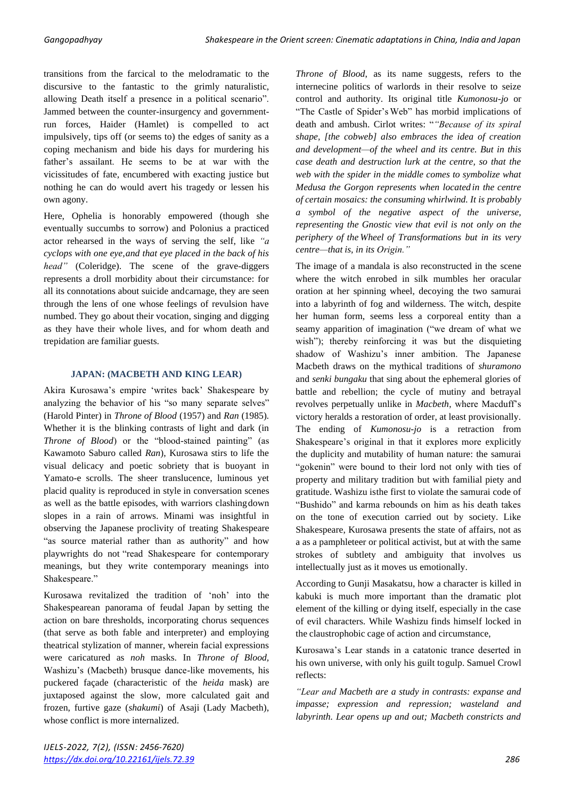transitions from the farcical to the melodramatic to the discursive to the fantastic to the grimly naturalistic, allowing Death itself a presence in a political scenario". Jammed between the counter-insurgency and governmentrun forces, Haider (Hamlet) is compelled to act impulsively, tips off (or seems to) the edges of sanity as a coping mechanism and bide his days for murdering his father's assailant. He seems to be at war with the vicissitudes of fate, encumbered with exacting justice but nothing he can do would avert his tragedy or lessen his own agony.

Here, Ophelia is honorably empowered (though she eventually succumbs to sorrow) and Polonius a practiced actor rehearsed in the ways of serving the self, like *"a cyclops with one eye,and that eye placed in the back of his head"* (Coleridge). The scene of the grave-diggers represents a droll morbidity about their circumstance: for all its connotations about suicide andcarnage, they are seen through the lens of one whose feelings of revulsion have numbed. They go about their vocation, singing and digging as they have their whole lives, and for whom death and trepidation are familiar guests.

## **JAPAN: (MACBETH AND KING LEAR)**

Akira Kurosawa's empire 'writes back' Shakespeare by analyzing the behavior of his "so many separate selves" (Harold Pinter) in *Throne of Blood* (1957) and *Ran* (1985)*.*  Whether it is the blinking contrasts of light and dark (in *Throne of Blood*) or the "blood-stained painting" (as Kawamoto Saburo called *Ran*), Kurosawa stirs to life the visual delicacy and poetic sobriety that is buoyant in Yamato-e scrolls. The sheer translucence, luminous yet placid quality is reproduced in style in conversation scenes as well as the battle episodes, with warriors clashingdown slopes in a rain of arrows. Minami was insightful in observing the Japanese proclivity of treating Shakespeare "as source material rather than as authority" and how playwrights do not "read Shakespeare for contemporary meanings, but they write contemporary meanings into Shakespeare."

Kurosawa revitalized the tradition of 'noh' into the Shakespearean panorama of feudal Japan by setting the action on bare thresholds, incorporating chorus sequences (that serve as both fable and interpreter) and employing theatrical stylization of manner, wherein facial expressions were caricatured as *noh* masks. In *Throne of Blood,*  Washizu's (Macbeth) brusque dance-like movements, his puckered façade (characteristic of the *heida* mask) are juxtaposed against the slow, more calculated gait and frozen, furtive gaze (*shakumi*) of Asaji (Lady Macbeth), whose conflict is more internalized.

*Throne of Blood*, as its name suggests, refers to the internecine politics of warlords in their resolve to seize control and authority. Its original title *Kumonosu-jo* or "The Castle of Spider'sWeb" has morbid implications of death and ambush. Cirlot writes: "*"Because of its spiral shape, [the cobweb] also embraces the idea of creation and development—of the wheel and its centre. But in this case death and destruction lurk at the centre, so that the web with the spider in the middle comes to symbolize what Medusa the Gorgon represents when located in the centre of certain mosaics: the consuming whirlwind. It is probably a symbol of the negative aspect of the universe, representing the Gnostic view that evil is not only on the periphery of the Wheel of Transformations but in its very centre—that is, in its Origin."*

The image of a mandala is also reconstructed in the scene where the witch enrobed in silk mumbles her oracular oration at her spinning wheel, decoying the two samurai into a labyrinth of fog and wilderness. The witch, despite her human form, seems less a corporeal entity than a seamy apparition of imagination ("we dream of what we wish"); thereby reinforcing it was but the disquieting shadow of Washizu's inner ambition. The Japanese Macbeth draws on the mythical traditions of *shuramono*  and *senki bungaku* that sing about the ephemeral glories of battle and rebellion; the cycle of mutiny and betrayal revolves perpetually unlike in *Macbeth*, where Macduff's victory heralds a restoration of order, at least provisionally. The ending of *Kumonosu-jo* is a retraction from Shakespeare's original in that it explores more explicitly the duplicity and mutability of human nature: the samurai "gokenin" were bound to their lord not only with ties of property and military tradition but with familial piety and gratitude. Washizu isthe first to violate the samurai code of "Bushido" and karma rebounds on him as his death takes on the tone of execution carried out by society. Like Shakespeare, Kurosawa presents the state of affairs, not as a as a pamphleteer or political activist, but at with the same strokes of subtlety and ambiguity that involves us intellectually just as it moves us emotionally.

According to Gunji Masakatsu, how a character is killed in kabuki is much more important than the dramatic plot element of the killing or dying itself, especially in the case of evil characters. While Washizu finds himself locked in the claustrophobic cage of action and circumstance,

Kurosawa's Lear stands in a catatonic trance deserted in his own universe, with only his guilt togulp. Samuel Crowl reflects:

*"Lear and Macbeth are a study in contrasts: expanse and impasse; expression and repression; wasteland and labyrinth. Lear opens up and out; Macbeth constricts and*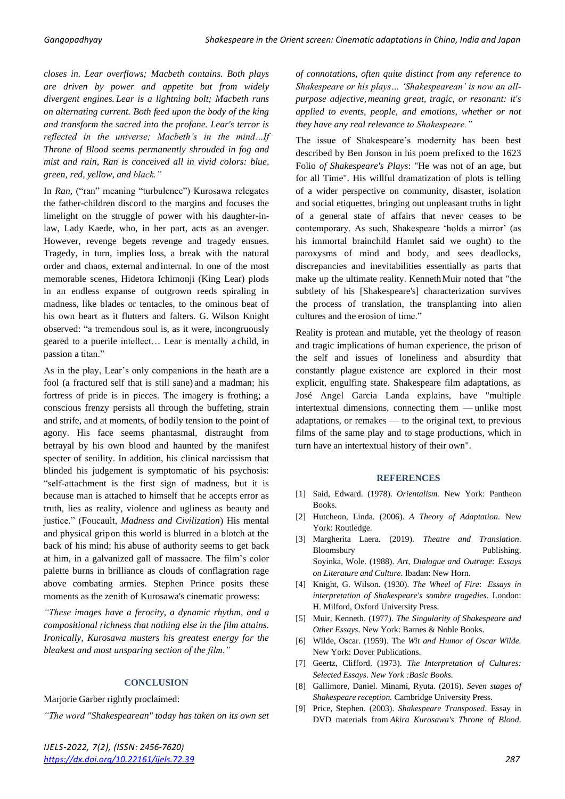*closes in. Lear overflows; Macbeth contains. Both plays are driven by power and appetite but from widely divergent engines. Lear is a lightning bolt; Macbeth runs on alternating current. Both feed upon the body of the king and transform the sacred into the profane. Lear's terror is reflected in the universe; Macbeth's in the mind…If Throne of Blood seems permanently shrouded in fog and mist and rain, Ran is conceived all in vivid colors: blue, green, red, yellow, and black."*

In *Ran*, ("ran" meaning "turbulence") Kurosawa relegates the father-children discord to the margins and focuses the limelight on the struggle of power with his daughter-inlaw, Lady Kaede, who, in her part, acts as an avenger. However, revenge begets revenge and tragedy ensues. Tragedy, in turn, implies loss, a break with the natural order and chaos, external and internal. In one of the most memorable scenes, Hidetora Ichimonji (King Lear) plods in an endless expanse of outgrown reeds spiraling in madness, like blades or tentacles, to the ominous beat of his own heart as it flutters and falters. G. Wilson Knight observed: "a tremendous soul is, as it were, incongruously geared to a puerile intellect… Lear is mentally a child, in passion a titan."

As in the play, Lear's only companions in the heath are a fool (a fractured self that is still sane) and a madman; his fortress of pride is in pieces. The imagery is frothing; a conscious frenzy persists all through the buffeting, strain and strife, and at moments, of bodily tension to the point of agony. His face seems phantasmal, distraught from betrayal by his own blood and haunted by the manifest specter of senility. In addition, his clinical narcissism that blinded his judgement is symptomatic of his psychosis: "self-attachment is the first sign of madness, but it is because man is attached to himself that he accepts error as truth, lies as reality, violence and ugliness as beauty and justice." (Foucault, *Madness and Civilization*) His mental and physical gripon this world is blurred in a blotch at the back of his mind; his abuse of authority seems to get back at him, in a galvanized gall of massacre. The film's color palette burns in brilliance as clouds of conflagration rage above combating armies. Stephen Prince posits these moments as the zenith of Kurosawa's cinematic prowess:

*"These images have a ferocity, a dynamic rhythm, and a compositional richness that nothing else in the film attains. Ironically, Kurosawa musters his greatest energy for the bleakest and most unsparing section of the film."*

#### **CONCLUSION**

Marjorie Garber rightly proclaimed:

*"The word "Shakespearean" today has taken on its own set* 

*of connotations, often quite distinct from any reference to Shakespeare or his plays… 'Shakespearean' is now an allpurpose adjective, meaning great, tragic, or resonant: it's applied to events, people, and emotions, whether or not they have any real relevance to Shakespeare."*

The issue of Shakespeare's modernity has been best described by Ben Jonson in his poem prefixed to the 1623 Folio *of Shakespeare's Plays*: "He was not of an age, but for all Time". His willful dramatization of plots is telling of a wider perspective on community, disaster, isolation and social etiquettes, bringing out unpleasant truths in light of a general state of affairs that never ceases to be contemporary. As such, Shakespeare 'holds a mirror' (as his immortal brainchild Hamlet said we ought) to the paroxysms of mind and body, and sees deadlocks, discrepancies and inevitabilities essentially as parts that make up the ultimate reality. KennethMuir noted that "the subtlety of his [Shakespeare's] characterization survives the process of translation, the transplanting into alien cultures and the erosion of time."

Reality is protean and mutable, yet the theology of reason and tragic implications of human experience, the prison of the self and issues of loneliness and absurdity that constantly plague existence are explored in their most explicit, engulfing state. Shakespeare film adaptations, as José Angel Garcia Landa explains, have "multiple intertextual dimensions, connecting them — unlike most adaptations, or remakes — to the original text, to previous films of the same play and to stage productions, which in turn have an intertextual history of their own".

#### **REFERENCES**

- [1] Said, Edward. (1978). *Orientalism.* New York: Pantheon Books.
- [2] Hutcheon, Linda. (2006). *A Theory of Adaptation*. New York: Routledge.
- [3] Margherita Laera. (2019). *Theatre and Translation*. Bloomsbury Publishing. Soyinka, Wole. (1988). *Art, Dialogue and Outrage: Essays on Literature and Culture*. Ibadan: New Horn.
- [4] Knight, G. Wilson. (1930). *The Wheel of Fire*: *Essays in interpretation of Shakespeare's sombre tragedies*. London: H. Milford, Oxford University Press.
- [5] Muir, Kenneth. (1977). *The Singularity of Shakespeare and Other Essays*. New York: Barnes & Noble Books.
- [6] Wilde, Oscar. (1959). The *Wit and Humor of Oscar Wilde.* New York: Dover Publications.
- [7] Geertz, Clifford. (1973). *The Interpretation of Cultures: Selected Essays*. *New York :Basic Books.*
- [8] Gallimore, Daniel. [Minami,](https://www.cambridge.org/core/search?filters%5BauthorTerms%5D=Minami%20Ryuta&eventCode=SE-AU) Ryuta. (2016). *Seven stages of Shakespeare reception.* Cambridge University Press.
- [9] Price, Stephen. (2003). *Shakespeare Transposed*. Essay in DVD materials from *Akira Kurosawa's Throne of Blood*.